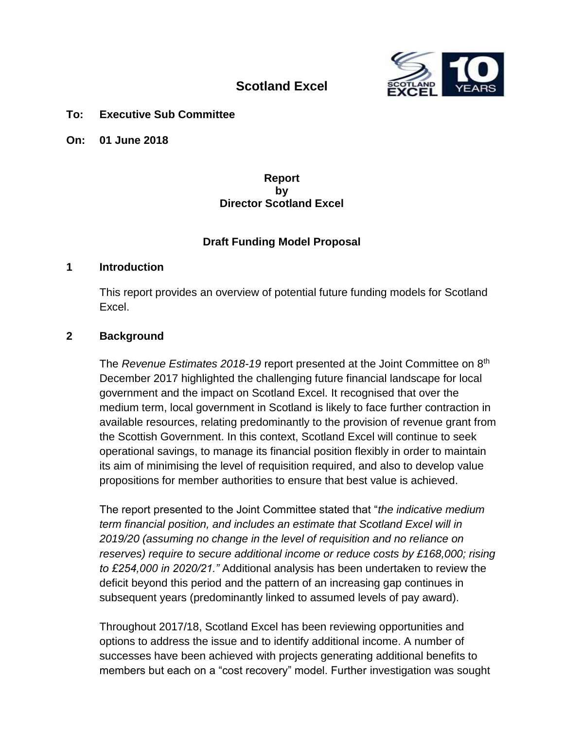

# **Scotland Excel**

#### **To: Executive Sub Committee**

**On: 01 June 2018**

#### **Report by Director Scotland Excel**

#### **Draft Funding Model Proposal**

#### **1 Introduction**

This report provides an overview of potential future funding models for Scotland Excel.

#### **2 Background**

The *Revenue Estimates 2018-19* report presented at the Joint Committee on 8th December 2017 highlighted the challenging future financial landscape for local government and the impact on Scotland Excel. It recognised that over the medium term, local government in Scotland is likely to face further contraction in available resources, relating predominantly to the provision of revenue grant from the Scottish Government. In this context, Scotland Excel will continue to seek operational savings, to manage its financial position flexibly in order to maintain its aim of minimising the level of requisition required, and also to develop value propositions for member authorities to ensure that best value is achieved.

The report presented to the Joint Committee stated that "*the indicative medium term financial position, and includes an estimate that Scotland Excel will in 2019/20 (assuming no change in the level of requisition and no reliance on reserves) require to secure additional income or reduce costs by £168,000; rising to £254,000 in 2020/21."* Additional analysis has been undertaken to review the deficit beyond this period and the pattern of an increasing gap continues in subsequent years (predominantly linked to assumed levels of pay award).

Throughout 2017/18, Scotland Excel has been reviewing opportunities and options to address the issue and to identify additional income. A number of successes have been achieved with projects generating additional benefits to members but each on a "cost recovery" model. Further investigation was sought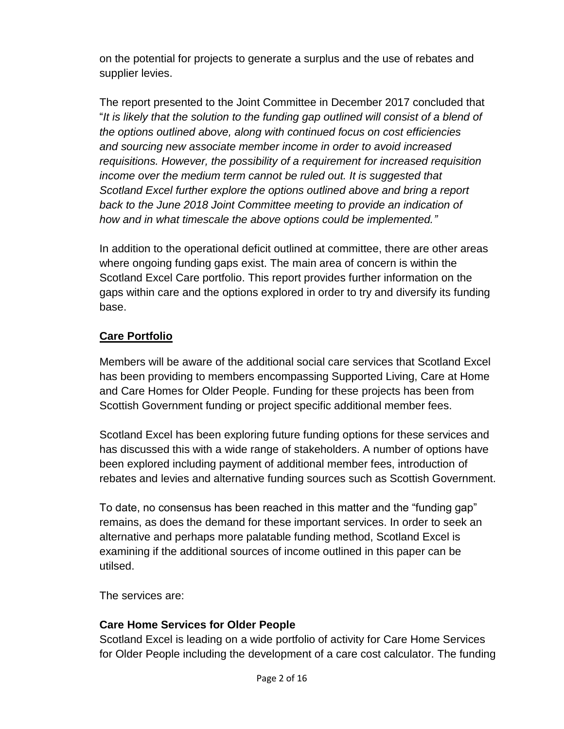on the potential for projects to generate a surplus and the use of rebates and supplier levies.

The report presented to the Joint Committee in December 2017 concluded that "*It is likely that the solution to the funding gap outlined will consist of a blend of the options outlined above, along with continued focus on cost efficiencies and sourcing new associate member income in order to avoid increased requisitions. However, the possibility of a requirement for increased requisition income over the medium term cannot be ruled out. It is suggested that Scotland Excel further explore the options outlined above and bring a report back to the June 2018 Joint Committee meeting to provide an indication of how and in what timescale the above options could be implemented."*

In addition to the operational deficit outlined at committee, there are other areas where ongoing funding gaps exist. The main area of concern is within the Scotland Excel Care portfolio. This report provides further information on the gaps within care and the options explored in order to try and diversify its funding base.

## **Care Portfolio**

Members will be aware of the additional social care services that Scotland Excel has been providing to members encompassing Supported Living, Care at Home and Care Homes for Older People. Funding for these projects has been from Scottish Government funding or project specific additional member fees.

Scotland Excel has been exploring future funding options for these services and has discussed this with a wide range of stakeholders. A number of options have been explored including payment of additional member fees, introduction of rebates and levies and alternative funding sources such as Scottish Government.

To date, no consensus has been reached in this matter and the "funding gap" remains, as does the demand for these important services. In order to seek an alternative and perhaps more palatable funding method, Scotland Excel is examining if the additional sources of income outlined in this paper can be utilsed.

The services are:

### **Care Home Services for Older People**

Scotland Excel is leading on a wide portfolio of activity for Care Home Services for Older People including the development of a care cost calculator. The funding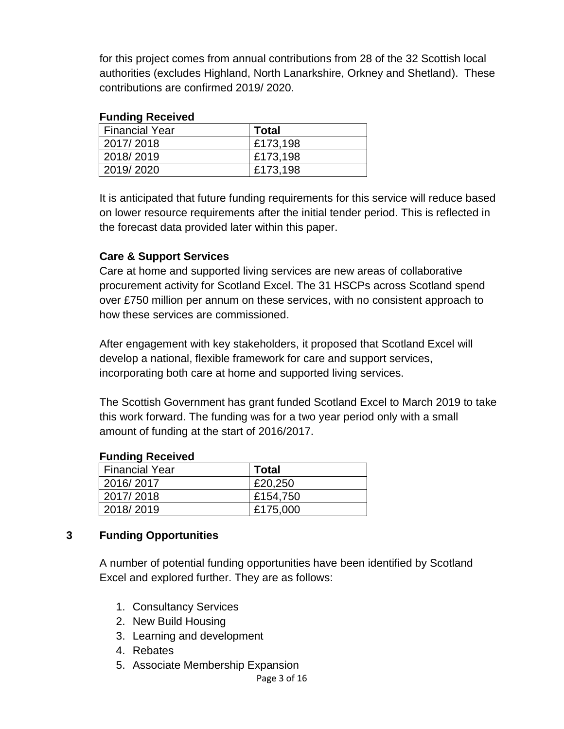for this project comes from annual contributions from 28 of the 32 Scottish local authorities (excludes Highland, North Lanarkshire, Orkney and Shetland). These contributions are confirmed 2019/ 2020.

#### **Funding Received**

| <b>Financial Year</b> | <b>Total</b> |
|-----------------------|--------------|
| 2017/2018             | £173,198     |
| 2018/2019             | £173,198     |
| 2019/2020             | £173,198     |

It is anticipated that future funding requirements for this service will reduce based on lower resource requirements after the initial tender period. This is reflected in the forecast data provided later within this paper.

### **Care & Support Services**

Care at home and supported living services are new areas of collaborative procurement activity for Scotland Excel. The 31 HSCPs across Scotland spend over £750 million per annum on these services, with no consistent approach to how these services are commissioned.

After engagement with key stakeholders, it proposed that Scotland Excel will develop a national, flexible framework for care and support services, incorporating both care at home and supported living services.

The Scottish Government has grant funded Scotland Excel to March 2019 to take this work forward. The funding was for a two year period only with a small amount of funding at the start of 2016/2017.

#### **Funding Received**

| <b>Financial Year</b> | Total    |
|-----------------------|----------|
| 2016/2017             | £20,250  |
| 2017/2018             | £154,750 |
| 2018/2019             | £175,000 |

### **3 Funding Opportunities**

A number of potential funding opportunities have been identified by Scotland Excel and explored further. They are as follows:

- 1. Consultancy Services
- 2. New Build Housing
- 3. Learning and development
- 4. Rebates
- 5. Associate Membership Expansion

Page 3 of 16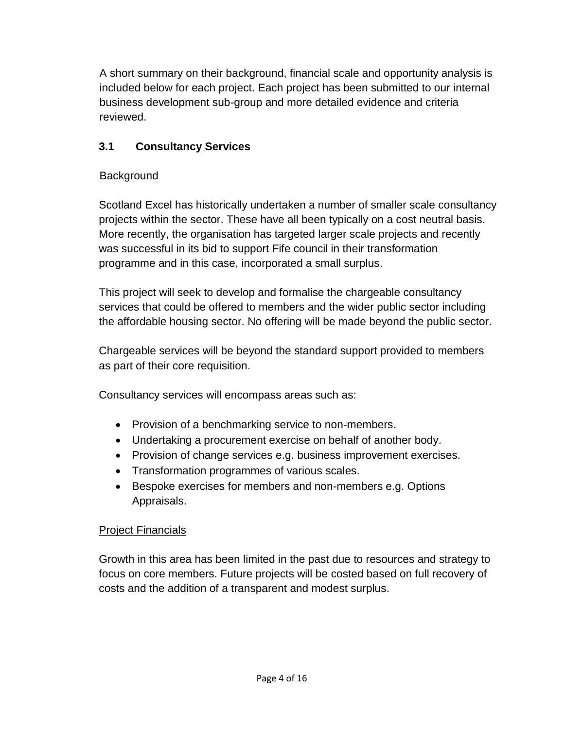A short summary on their background, financial scale and opportunity analysis is included below for each project. Each project has been submitted to our internal business development sub-group and more detailed evidence and criteria reviewed.

# **3.1 Consultancy Services**

# **Background**

Scotland Excel has historically undertaken a number of smaller scale consultancy projects within the sector. These have all been typically on a cost neutral basis. More recently, the organisation has targeted larger scale projects and recently was successful in its bid to support Fife council in their transformation programme and in this case, incorporated a small surplus.

This project will seek to develop and formalise the chargeable consultancy services that could be offered to members and the wider public sector including the affordable housing sector. No offering will be made beyond the public sector.

Chargeable services will be beyond the standard support provided to members as part of their core requisition.

Consultancy services will encompass areas such as:

- Provision of a benchmarking service to non-members.
- Undertaking a procurement exercise on behalf of another body.
- Provision of change services e.g. business improvement exercises.
- Transformation programmes of various scales.
- Bespoke exercises for members and non-members e.g. Options Appraisals.

# Project Financials

Growth in this area has been limited in the past due to resources and strategy to focus on core members. Future projects will be costed based on full recovery of costs and the addition of a transparent and modest surplus.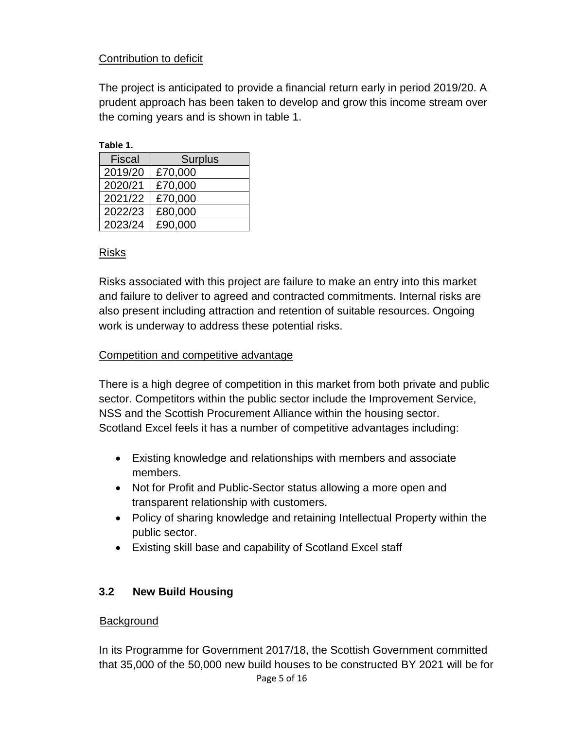## Contribution to deficit

The project is anticipated to provide a financial return early in period 2019/20. A prudent approach has been taken to develop and grow this income stream over the coming years and is shown in table 1.

| Table |  |
|-------|--|
|       |  |

| <b>Fiscal</b> | <b>Surplus</b> |
|---------------|----------------|
| 2019/20       | £70,000        |
| 2020/21       | £70,000        |
| 2021/22       | £70,000        |
| 2022/23       | £80,000        |
| 2023/24       | £90,000        |

### Risks

Risks associated with this project are failure to make an entry into this market and failure to deliver to agreed and contracted commitments. Internal risks are also present including attraction and retention of suitable resources. Ongoing work is underway to address these potential risks.

#### Competition and competitive advantage

There is a high degree of competition in this market from both private and public sector. Competitors within the public sector include the Improvement Service, NSS and the Scottish Procurement Alliance within the housing sector. Scotland Excel feels it has a number of competitive advantages including:

- Existing knowledge and relationships with members and associate members.
- Not for Profit and Public-Sector status allowing a more open and transparent relationship with customers.
- Policy of sharing knowledge and retaining Intellectual Property within the public sector.
- Existing skill base and capability of Scotland Excel staff

### **3.2 New Build Housing**

#### **Background**

Page 5 of 16 In its Programme for Government 2017/18, the Scottish Government committed that 35,000 of the 50,000 new build houses to be constructed BY 2021 will be for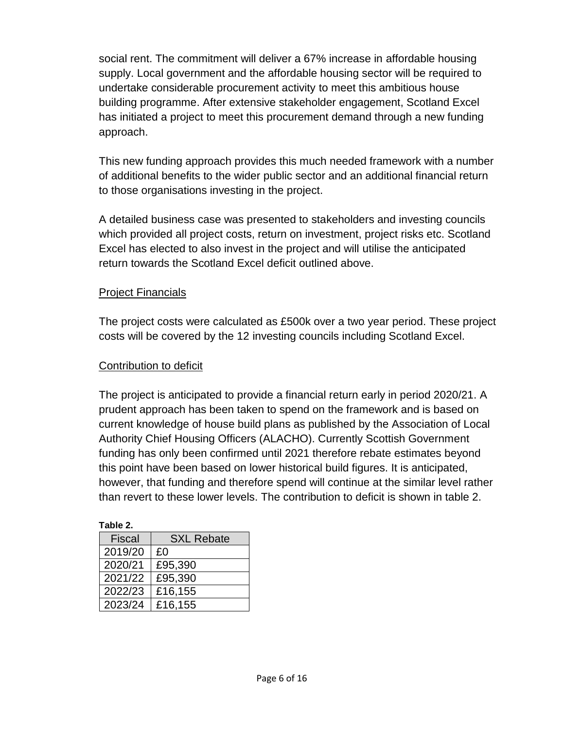social rent. The commitment will deliver a 67% increase in affordable housing supply. Local government and the affordable housing sector will be required to undertake considerable procurement activity to meet this ambitious house building programme. After extensive stakeholder engagement, Scotland Excel has initiated a project to meet this procurement demand through a new funding approach.

This new funding approach provides this much needed framework with a number of additional benefits to the wider public sector and an additional financial return to those organisations investing in the project.

A detailed business case was presented to stakeholders and investing councils which provided all project costs, return on investment, project risks etc. Scotland Excel has elected to also invest in the project and will utilise the anticipated return towards the Scotland Excel deficit outlined above.

### **Project Financials**

The project costs were calculated as £500k over a two year period. These project costs will be covered by the 12 investing councils including Scotland Excel.

### Contribution to deficit

The project is anticipated to provide a financial return early in period 2020/21. A prudent approach has been taken to spend on the framework and is based on current knowledge of house build plans as published by the Association of Local Authority Chief Housing Officers (ALACHO). Currently Scottish Government funding has only been confirmed until 2021 therefore rebate estimates beyond this point have been based on lower historical build figures. It is anticipated, however, that funding and therefore spend will continue at the similar level rather than revert to these lower levels. The contribution to deficit is shown in table 2.

| <b>Fiscal</b> | <b>SXL Rebate</b> |
|---------------|-------------------|
| 2019/20       | £0                |
| 2020/21       | £95,390           |
| 2021/22       | £95,390           |
| 2022/23       | £16,155           |
| 2023/24       | £16,155           |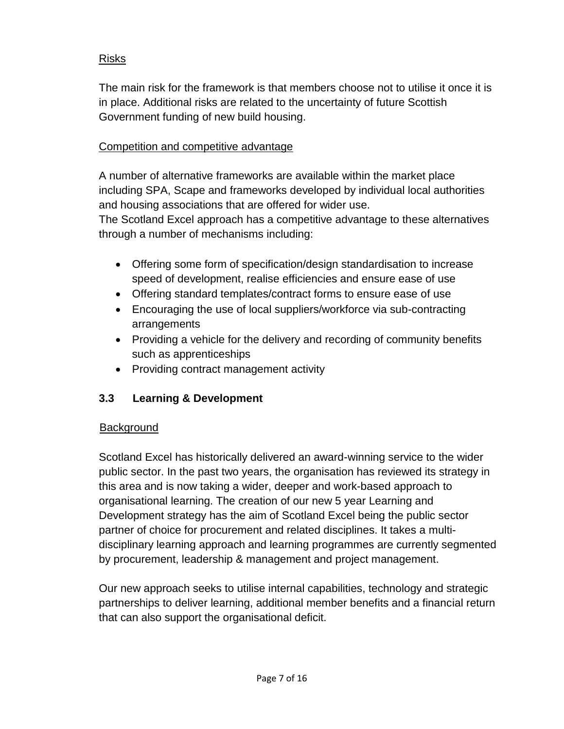## Risks

The main risk for the framework is that members choose not to utilise it once it is in place. Additional risks are related to the uncertainty of future Scottish Government funding of new build housing.

### Competition and competitive advantage

A number of alternative frameworks are available within the market place including SPA, Scape and frameworks developed by individual local authorities and housing associations that are offered for wider use.

The Scotland Excel approach has a competitive advantage to these alternatives through a number of mechanisms including:

- Offering some form of specification/design standardisation to increase speed of development, realise efficiencies and ensure ease of use
- Offering standard templates/contract forms to ensure ease of use
- Encouraging the use of local suppliers/workforce via sub-contracting arrangements
- Providing a vehicle for the delivery and recording of community benefits such as apprenticeships
- Providing contract management activity

## **3.3 Learning & Development**

### **Background**

Scotland Excel has historically delivered an award-winning service to the wider public sector. In the past two years, the organisation has reviewed its strategy in this area and is now taking a wider, deeper and work-based approach to organisational learning. The creation of our new 5 year Learning and Development strategy has the aim of Scotland Excel being the public sector partner of choice for procurement and related disciplines. It takes a multidisciplinary learning approach and learning programmes are currently segmented by procurement, leadership & management and project management.

Our new approach seeks to utilise internal capabilities, technology and strategic partnerships to deliver learning, additional member benefits and a financial return that can also support the organisational deficit.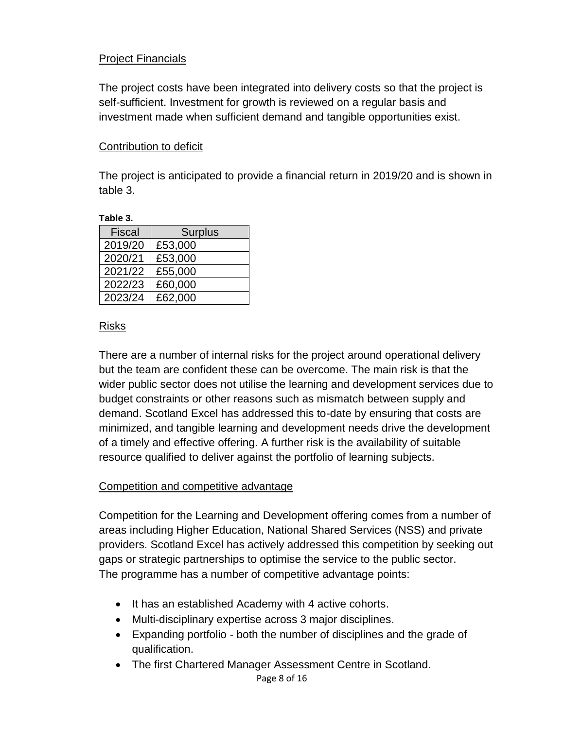### **Project Financials**

The project costs have been integrated into delivery costs so that the project is self-sufficient. Investment for growth is reviewed on a regular basis and investment made when sufficient demand and tangible opportunities exist.

#### Contribution to deficit

The project is anticipated to provide a financial return in 2019/20 and is shown in table 3.

**Table 3.**

| <b>Fiscal</b> | <b>Surplus</b> |
|---------------|----------------|
| 2019/20       | £53,000        |
| 2020/21       | £53,000        |
| 2021/22       | £55,000        |
| 2022/23       | £60,000        |
| 2023/24       | £62,000        |

#### Risks

There are a number of internal risks for the project around operational delivery but the team are confident these can be overcome. The main risk is that the wider public sector does not utilise the learning and development services due to budget constraints or other reasons such as mismatch between supply and demand. Scotland Excel has addressed this to-date by ensuring that costs are minimized, and tangible learning and development needs drive the development of a timely and effective offering. A further risk is the availability of suitable resource qualified to deliver against the portfolio of learning subjects.

### Competition and competitive advantage

Competition for the Learning and Development offering comes from a number of areas including Higher Education, National Shared Services (NSS) and private providers. Scotland Excel has actively addressed this competition by seeking out gaps or strategic partnerships to optimise the service to the public sector. The programme has a number of competitive advantage points:

- It has an established Academy with 4 active cohorts.
- Multi-disciplinary expertise across 3 major disciplines.
- Expanding portfolio both the number of disciplines and the grade of qualification.
- The first Chartered Manager Assessment Centre in Scotland.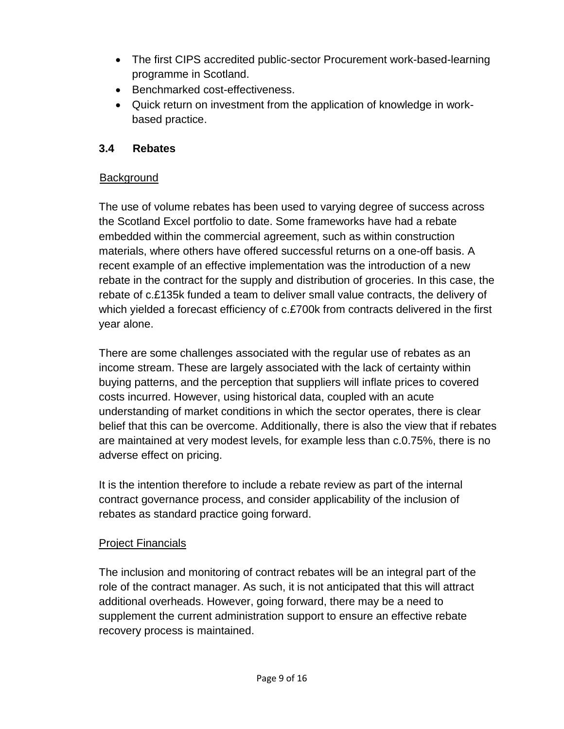- The first CIPS accredited public-sector Procurement work-based-learning programme in Scotland.
- Benchmarked cost-effectiveness.
- Quick return on investment from the application of knowledge in workbased practice.

## **3.4 Rebates**

## **Background**

The use of volume rebates has been used to varying degree of success across the Scotland Excel portfolio to date. Some frameworks have had a rebate embedded within the commercial agreement, such as within construction materials, where others have offered successful returns on a one-off basis. A recent example of an effective implementation was the introduction of a new rebate in the contract for the supply and distribution of groceries. In this case, the rebate of c.£135k funded a team to deliver small value contracts, the delivery of which yielded a forecast efficiency of c.£700k from contracts delivered in the first year alone.

There are some challenges associated with the regular use of rebates as an income stream. These are largely associated with the lack of certainty within buying patterns, and the perception that suppliers will inflate prices to covered costs incurred. However, using historical data, coupled with an acute understanding of market conditions in which the sector operates, there is clear belief that this can be overcome. Additionally, there is also the view that if rebates are maintained at very modest levels, for example less than c.0.75%, there is no adverse effect on pricing.

It is the intention therefore to include a rebate review as part of the internal contract governance process, and consider applicability of the inclusion of rebates as standard practice going forward.

## Project Financials

The inclusion and monitoring of contract rebates will be an integral part of the role of the contract manager. As such, it is not anticipated that this will attract additional overheads. However, going forward, there may be a need to supplement the current administration support to ensure an effective rebate recovery process is maintained.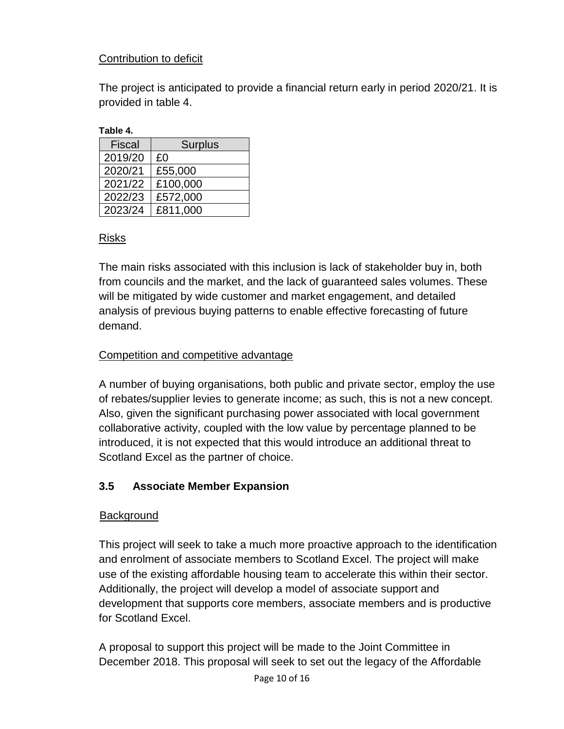## Contribution to deficit

The project is anticipated to provide a financial return early in period 2020/21. It is provided in table 4.

| able |
|------|
|------|

| <b>Fiscal</b> | <b>Surplus</b> |
|---------------|----------------|
| 2019/20       | £0             |
| 2020/21       | £55,000        |
| 2021/22       | £100,000       |
| 2022/23       | £572,000       |
| 2023/24       | £811,000       |

## Risks

The main risks associated with this inclusion is lack of stakeholder buy in, both from councils and the market, and the lack of guaranteed sales volumes. These will be mitigated by wide customer and market engagement, and detailed analysis of previous buying patterns to enable effective forecasting of future demand.

## Competition and competitive advantage

A number of buying organisations, both public and private sector, employ the use of rebates/supplier levies to generate income; as such, this is not a new concept. Also, given the significant purchasing power associated with local government collaborative activity, coupled with the low value by percentage planned to be introduced, it is not expected that this would introduce an additional threat to Scotland Excel as the partner of choice.

## **3.5 Associate Member Expansion**

## **Background**

This project will seek to take a much more proactive approach to the identification and enrolment of associate members to Scotland Excel. The project will make use of the existing affordable housing team to accelerate this within their sector. Additionally, the project will develop a model of associate support and development that supports core members, associate members and is productive for Scotland Excel.

A proposal to support this project will be made to the Joint Committee in December 2018. This proposal will seek to set out the legacy of the Affordable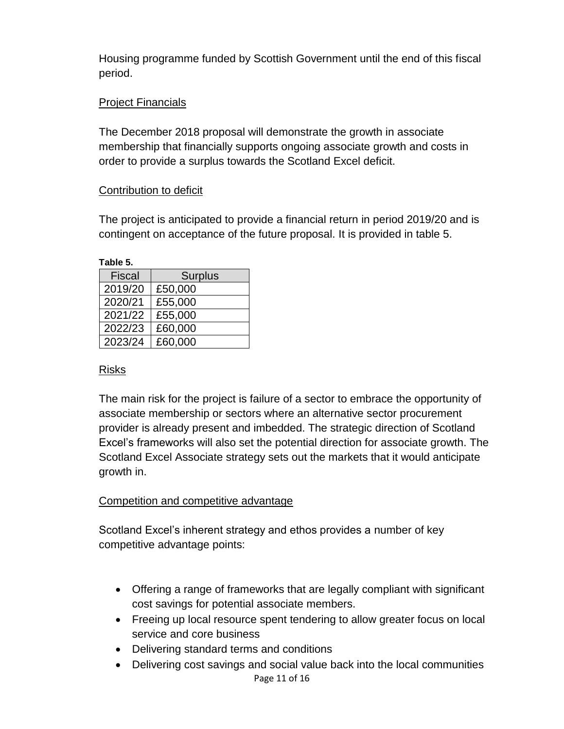Housing programme funded by Scottish Government until the end of this fiscal period.

### Project Financials

The December 2018 proposal will demonstrate the growth in associate membership that financially supports ongoing associate growth and costs in order to provide a surplus towards the Scotland Excel deficit.

### Contribution to deficit

The project is anticipated to provide a financial return in period 2019/20 and is contingent on acceptance of the future proposal. It is provided in table 5.

| <b>Fiscal</b> | <b>Surplus</b> |
|---------------|----------------|
| 2019/20       | £50,000        |
| 2020/21       | £55,000        |
| 2021/22       | £55,000        |
| 2022/23       | £60,000        |
| 2023/24       | £60,000        |

### Risks

The main risk for the project is failure of a sector to embrace the opportunity of associate membership or sectors where an alternative sector procurement provider is already present and imbedded. The strategic direction of Scotland Excel's frameworks will also set the potential direction for associate growth. The Scotland Excel Associate strategy sets out the markets that it would anticipate growth in.

### Competition and competitive advantage

Scotland Excel's inherent strategy and ethos provides a number of key competitive advantage points:

- Offering a range of frameworks that are legally compliant with significant cost savings for potential associate members.
- Freeing up local resource spent tendering to allow greater focus on local service and core business
- Delivering standard terms and conditions
- Page 11 of 16 • Delivering cost savings and social value back into the local communities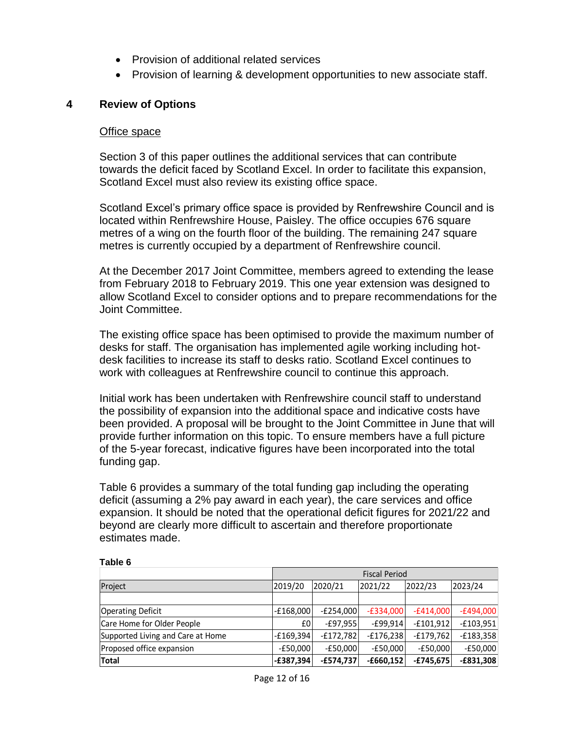- Provision of additional related services
- Provision of learning & development opportunities to new associate staff.

#### **4 Review of Options**

#### Office space

Section 3 of this paper outlines the additional services that can contribute towards the deficit faced by Scotland Excel. In order to facilitate this expansion, Scotland Excel must also review its existing office space.

Scotland Excel's primary office space is provided by Renfrewshire Council and is located within Renfrewshire House, Paisley. The office occupies 676 square metres of a wing on the fourth floor of the building. The remaining 247 square metres is currently occupied by a department of Renfrewshire council.

At the December 2017 Joint Committee, members agreed to extending the lease from February 2018 to February 2019. This one year extension was designed to allow Scotland Excel to consider options and to prepare recommendations for the Joint Committee.

The existing office space has been optimised to provide the maximum number of desks for staff. The organisation has implemented agile working including hotdesk facilities to increase its staff to desks ratio. Scotland Excel continues to work with colleagues at Renfrewshire council to continue this approach.

Initial work has been undertaken with Renfrewshire council staff to understand the possibility of expansion into the additional space and indicative costs have been provided. A proposal will be brought to the Joint Committee in June that will provide further information on this topic. To ensure members have a full picture of the 5-year forecast, indicative figures have been incorporated into the total funding gap.

Table 6 provides a summary of the total funding gap including the operating deficit (assuming a 2% pay award in each year), the care services and office expansion. It should be noted that the operational deficit figures for 2021/22 and beyond are clearly more difficult to ascertain and therefore proportionate estimates made.

|                                   | <b>Fiscal Period</b> |             |             |             |             |
|-----------------------------------|----------------------|-------------|-------------|-------------|-------------|
| Project                           | 2019/20              | 2020/21     | 2021/22     | 2022/23     | 2023/24     |
|                                   |                      |             |             |             |             |
| <b>Operating Deficit</b>          | $-E168,000$          | $-E254.000$ | $-E334.000$ | $-£414,000$ | $-E494,000$ |
| Care Home for Older People        | £0                   | $-E97,955$  | $-E99,914$  | $-£101,912$ | $-£103,951$ |
| Supported Living and Care at Home | $-E169,394$          | $-£172.782$ | $-E176.238$ | $-£179,762$ | $-E183,358$ |
| Proposed office expansion         | $-E50.000$           | $-E50.000$  | $-E50.000$  | $-E50,000$  | -£50.000    |
| Total                             | $-E387,394$          | $-£574.737$ | $-£660.152$ | $-£745,675$ | $-E831,308$ |

#### **Table 6**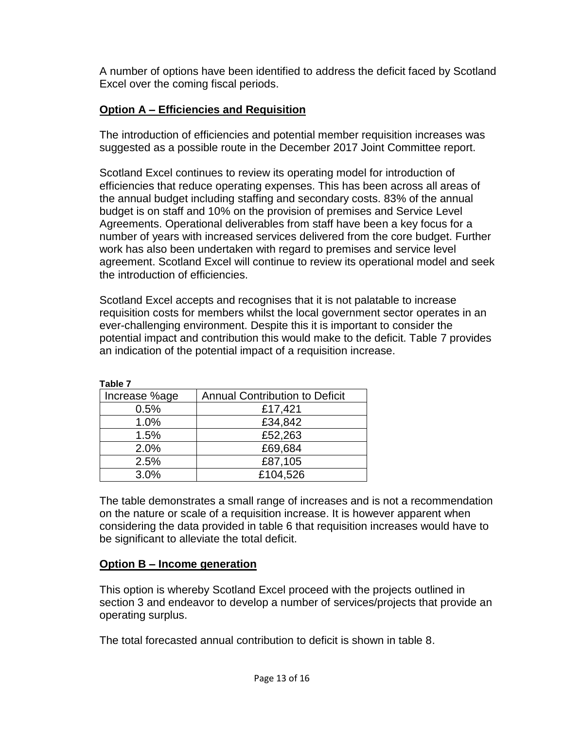A number of options have been identified to address the deficit faced by Scotland Excel over the coming fiscal periods.

## **Option A – Efficiencies and Requisition**

The introduction of efficiencies and potential member requisition increases was suggested as a possible route in the December 2017 Joint Committee report.

Scotland Excel continues to review its operating model for introduction of efficiencies that reduce operating expenses. This has been across all areas of the annual budget including staffing and secondary costs. 83% of the annual budget is on staff and 10% on the provision of premises and Service Level Agreements. Operational deliverables from staff have been a key focus for a number of years with increased services delivered from the core budget. Further work has also been undertaken with regard to premises and service level agreement. Scotland Excel will continue to review its operational model and seek the introduction of efficiencies.

Scotland Excel accepts and recognises that it is not palatable to increase requisition costs for members whilst the local government sector operates in an ever-challenging environment. Despite this it is important to consider the potential impact and contribution this would make to the deficit. Table 7 provides an indication of the potential impact of a requisition increase.

| Increase %age | <b>Annual Contribution to Deficit</b> |
|---------------|---------------------------------------|
| 0.5%          | £17,421                               |
| 1.0%          | £34,842                               |
| 1.5%          | £52,263                               |
| 2.0%          | £69,684                               |
| 2.5%          | £87,105                               |
| 3.0%          | £104,526                              |

| I<br>× | × |  |
|--------|---|--|
|        |   |  |

The table demonstrates a small range of increases and is not a recommendation on the nature or scale of a requisition increase. It is however apparent when considering the data provided in table 6 that requisition increases would have to be significant to alleviate the total deficit.

#### **Option B – Income generation**

This option is whereby Scotland Excel proceed with the projects outlined in section 3 and endeavor to develop a number of services/projects that provide an operating surplus.

The total forecasted annual contribution to deficit is shown in table 8.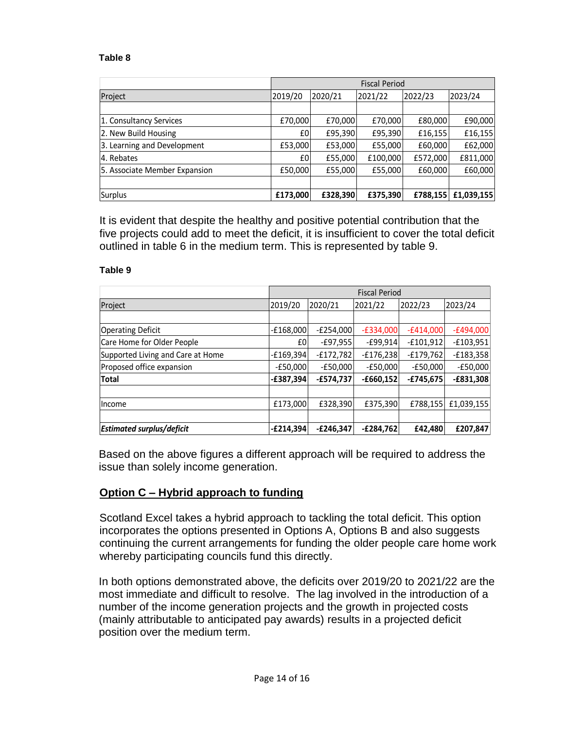#### **Table 8**

|                               | <b>Fiscal Period</b> |          |          |          |            |
|-------------------------------|----------------------|----------|----------|----------|------------|
| Project                       | 2019/20              | 2020/21  | 2021/22  | 2022/23  | 2023/24    |
|                               |                      |          |          |          |            |
| 1. Consultancy Services       | £70,000              | £70,000  | £70,000  | £80,000  | £90,000    |
| 2. New Build Housing          | £0                   | £95,390  | £95,390  | £16,155  | £16,155    |
| 3. Learning and Development   | £53,000              | £53,000  | £55,000  | £60,000  | £62,000    |
| 4. Rebates                    | £0                   | £55,000  | £100,000 | £572,000 | £811,000   |
| 5. Associate Member Expansion | £50,000              | £55,000  | £55,000  | £60,000  | £60,000    |
|                               |                      |          |          |          |            |
| Surplus                       | £173,000             | £328,390 | £375,390 | £788,155 | £1,039,155 |

It is evident that despite the healthy and positive potential contribution that the five projects could add to meet the deficit, it is insufficient to cover the total deficit outlined in table 6 in the medium term. This is represented by table 9.

#### **Table 9**

|                                   | <b>Fiscal Period</b> |             |             |             |             |
|-----------------------------------|----------------------|-------------|-------------|-------------|-------------|
| Project                           | 2019/20              | 2020/21     | 2021/22     | 2022/23     | 2023/24     |
|                                   |                      |             |             |             |             |
| <b>Operating Deficit</b>          | $-E168,000$          | $-E254,000$ | $-E334,000$ | $-£414,000$ | $-£494,000$ |
| Care Home for Older People        | £0                   | $-E97,955$  | $-E99,914$  | $-£101,912$ | $-£103,951$ |
| Supported Living and Care at Home | $-E169,394$          | $-£172,782$ | $-E176,238$ | $-£179,762$ | $-£183,358$ |
| Proposed office expansion         | $-E50,000$           | $-E50.000$  | $-E50,000$  | $-E50.000$  | $-E50,000$  |
| <b>Total</b>                      | $-E387,394$          | -£574,737   | $-£660,152$ | $-£745,675$ | $-£831,308$ |
|                                   |                      |             |             |             |             |
| Income                            | £173,000             | £328.390    | £375,390    | £788,155    | £1,039,155  |
|                                   |                      |             |             |             |             |
| <b>Estimated surplus/deficit</b>  | $-E214.394$          | $-E246.347$ | $-E284.762$ | £42.480     | £207,847    |

Based on the above figures a different approach will be required to address the issue than solely income generation.

#### **Option C – Hybrid approach to funding**

Scotland Excel takes a hybrid approach to tackling the total deficit. This option incorporates the options presented in Options A, Options B and also suggests continuing the current arrangements for funding the older people care home work whereby participating councils fund this directly.

In both options demonstrated above, the deficits over 2019/20 to 2021/22 are the most immediate and difficult to resolve. The lag involved in the introduction of a number of the income generation projects and the growth in projected costs (mainly attributable to anticipated pay awards) results in a projected deficit position over the medium term.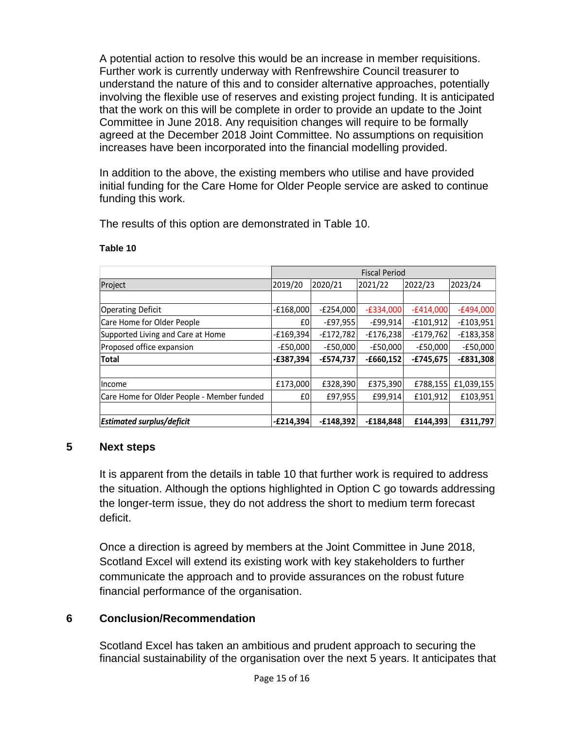A potential action to resolve this would be an increase in member requisitions. Further work is currently underway with Renfrewshire Council treasurer to understand the nature of this and to consider alternative approaches, potentially involving the flexible use of reserves and existing project funding. It is anticipated that the work on this will be complete in order to provide an update to the Joint Committee in June 2018. Any requisition changes will require to be formally agreed at the December 2018 Joint Committee. No assumptions on requisition increases have been incorporated into the financial modelling provided.

In addition to the above, the existing members who utilise and have provided initial funding for the Care Home for Older People service are asked to continue funding this work.

The results of this option are demonstrated in Table 10.

|                                            | <b>Fiscal Period</b> |             |             |             |             |
|--------------------------------------------|----------------------|-------------|-------------|-------------|-------------|
| Project                                    | 2019/20              | 2020/21     | 2021/22     | 2022/23     | 2023/24     |
|                                            |                      |             |             |             |             |
| <b>Operating Deficit</b>                   | $-£168,000$          | $-E254,000$ | $-E334,000$ | $-£414,000$ | $-£494,000$ |
| Care Home for Older People                 | £0                   | $-E97,955$  | $-£99,914$  | $-£101,912$ | $-£103,951$ |
| Supported Living and Care at Home          | $-£169,394$          | $-£172,782$ | $-E176,238$ | $-£179,762$ | $-E183,358$ |
| Proposed office expansion                  | $-E50,000$           | $-E50,000$  | $-E50,000$  | $-E50,000$  | $-£50,000$  |
| <b>Total</b>                               | $-E387,394$          | -£574,737   | $-£660,152$ | $-£745,675$ | $-E831,308$ |
|                                            |                      |             |             |             |             |
| Income                                     | £173,000             | £328,390    | £375,390    | £788,155    | £1,039,155  |
| Care Home for Older People - Member funded | £0                   | £97,955     | £99,914     | £101.912    | £103,951    |
|                                            |                      |             |             |             |             |
| <b>Estimated surplus/deficit</b>           | $-E214,394$          | $-£148,392$ | $-£184.848$ | £144,393    | £311,797    |

#### **Table 10**

#### **5 Next steps**

It is apparent from the details in table 10 that further work is required to address the situation. Although the options highlighted in Option C go towards addressing the longer-term issue, they do not address the short to medium term forecast deficit.

Once a direction is agreed by members at the Joint Committee in June 2018, Scotland Excel will extend its existing work with key stakeholders to further communicate the approach and to provide assurances on the robust future financial performance of the organisation.

### **6 Conclusion/Recommendation**

Scotland Excel has taken an ambitious and prudent approach to securing the financial sustainability of the organisation over the next 5 years. It anticipates that